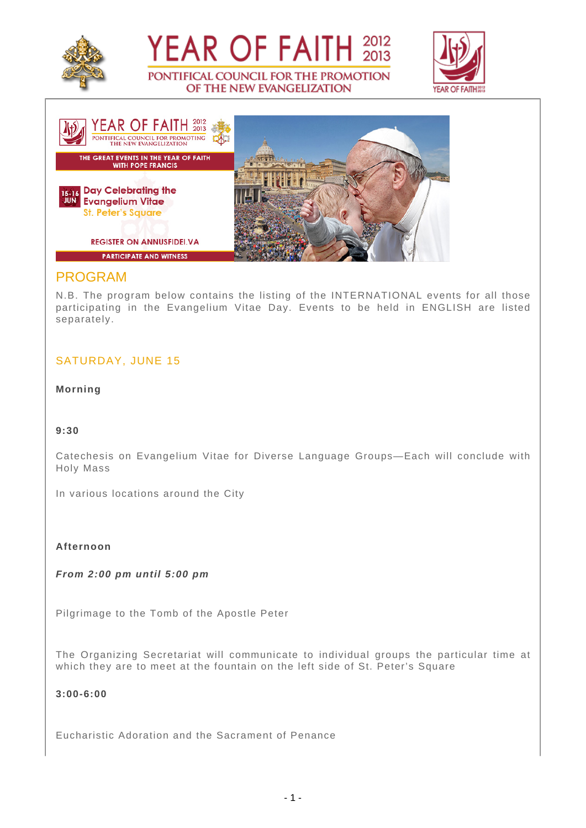





OF THE NEW EVANGELIZATION

# PROGRAM

N.B. The program below contains the listing of the INTERNATIONAL events for all those participating in the Evangelium Vitae Day. Events to be held in ENGLISH are listed separately.

# SATURDAY, JUNE 15

**Morning**

## **9:30**

Catechesis on Evangelium Vitae for Diverse Language Groups—Each will conclude with Holy Mass

In various locations around the City

#### **Afternoon**

**From 2:00 pm until 5:00 pm**

Pilgrimage to the Tomb of the Apostle Peter

The Organizing Secretariat will communicate to individual groups the particular time at which they are to meet at the fountain on the left side of St. Peter's Square

## **3:00-6:00**

Eucharistic Adoration and the Sacrament of Penance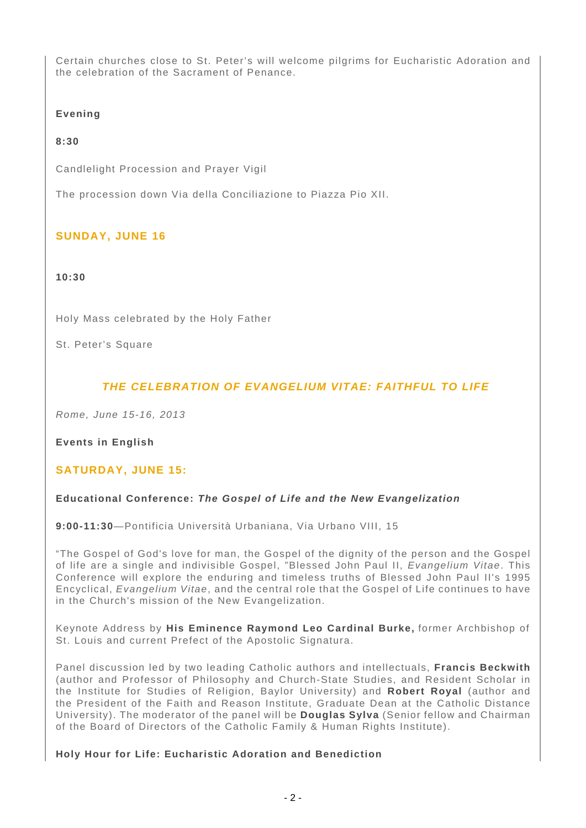Certain churches close to St. Peter's will welcome pilgrims for Eucharistic Adoration and the celebration of the Sacrament of Penance.

## **Evening**

## **8:30**

Candlelight Procession and Prayer Vigil

The procession down Via della Conciliazione to Piazza Pio XII.

# **SUNDAY, JUNE 16**

#### **10:30**

Holy Mass celebrated by the Holy Father

St. Peter's Square

# **THE CELEBRATION OF EVANGELIUM VITAE: FAITHFUL TO LIFE**

Rome, June 15-16, 2013

## **Events in English**

## **SATURDAY, JUNE 15:**

## **Educational Conference: The Gospel of Life and the New Evangelization**

**9:00-11:30**—Pontificia Università Urbaniana, Via Urbano VIII, 15

"The Gospel of God's love for man, the Gospel of the dignity of the person and the Gospel of life are a single and indivisible Gospel, "Blessed John Paul II, Evangelium Vitae. This Conference will explore the enduring and timeless truths of Blessed John Paul II's 1995 Encyclical, Evangelium Vitae, and the central role that the Gospel of Life continues to have in the Church's mission of the New Evangelization.

Keynote Address by **His Eminence Raymond Leo Cardinal Burke,** former Archbishop of St. Louis and current Prefect of the Apostolic Signatura.

Panel discussion led by two leading Catholic authors and intellectuals, **Francis Beckwith** (author and Professor of Philosophy and Church-State Studies, and Resident Scholar in the Institute for Studies of Religion, Baylor University) and **Robert Royal** (author and the President of the Faith and Reason Institute, Graduate Dean at the Catholic Distance University). The moderator of the panel will be **Douglas Sylva** (Senior fellow and Chairman of the Board of Directors of the Catholic Family & Human Rights Institute).

#### **Holy Hour for Life: Eucharistic Adoration and Benediction**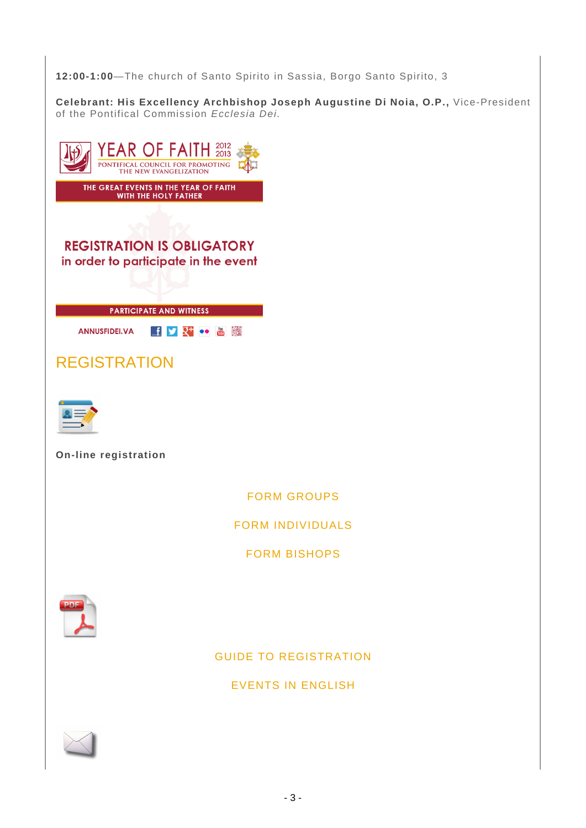**12:00-1:00**—The church of Santo Spirito in Sassia, Borgo Santo Spirito, 3

**Celebrant: His Excellency Archbishop Joseph Augustine Di Noia, O.P.,** Vice-President of the Pontifical Commission Ecclesia Dei.